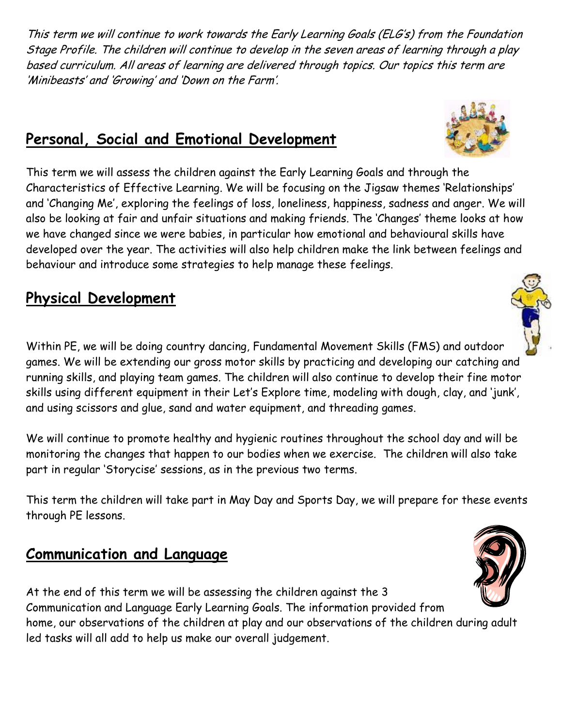This term we will continue to work towards the Early Learning Goals (ELG's) from the Foundation Stage Profile. The children will continue to develop in the seven areas of learning through a play based curriculum. All areas of learning are delivered through topics. Our topics this term are 'Minibeasts' and 'Growing' and 'Down on the Farm'.

#### **Personal, Social and Emotional Development**

This term we will assess the children against the Early Learning Goals and through the Characteristics of Effective Learning. We will be focusing on the Jigsaw themes 'Relationships' and 'Changing Me', exploring the feelings of loss, loneliness, happiness, sadness and anger. We will also be looking at fair and unfair situations and making friends. The 'Changes' theme looks at how we have changed since we were babies, in particular how emotional and behavioural skills have developed over the year. The activities will also help children make the link between feelings and behaviour and introduce some strategies to help manage these feelings.

### **Physical Development**

Within PE, we will be doing country dancing, Fundamental Movement Skills (FMS) and outdoor games. We will be extending our gross motor skills by practicing and developing our catching and running skills, and playing team games. The children will also continue to develop their fine motor skills using different equipment in their Let's Explore time, modeling with dough, clay, and 'junk', and using scissors and glue, sand and water equipment, and threading games.

We will continue to promote healthy and hygienic routines throughout the school day and will be monitoring the changes that happen to our bodies when we exercise. The children will also take part in regular 'Storycise' sessions, as in the previous two terms.

This term the children will take part in May Day and Sports Day, we will prepare for these events through PE lessons.

#### **Communication and Language**

At the end of this term we will be assessing the children against the 3 Communication and Language Early Learning Goals. The information provided from home, our observations of the children at play and our observations of the children during adult led tasks will all add to help us make our overall judgement.





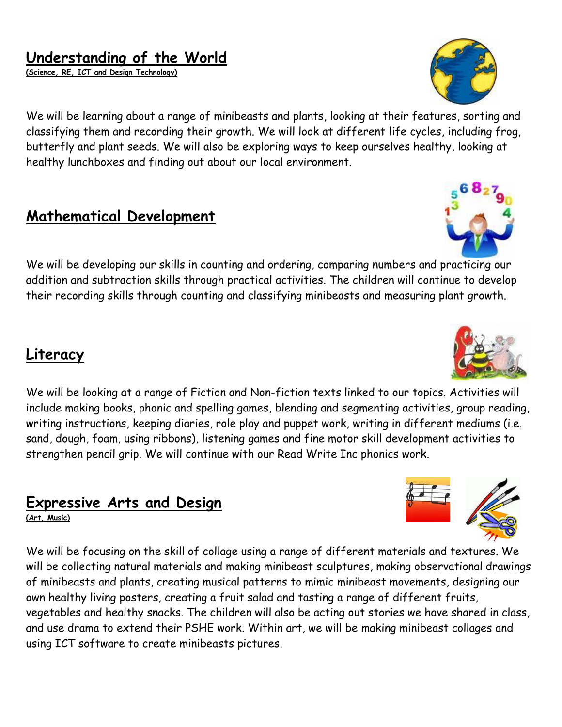### **Understanding of the World**

**(Science, RE, ICT and Design Technology)**

We will be learning about a range of minibeasts and plants, looking at their features, sorting and classifying them and recording their growth. We will look at different life cycles, including frog, butterfly and plant seeds. We will also be exploring ways to keep ourselves healthy, looking at healthy lunchboxes and finding out about our local environment.

#### **Mathematical Development**

We will be developing our skills in counting and ordering, comparing numbers and practicing our addition and subtraction skills through practical activities. The children will continue to develop their recording skills through counting and classifying minibeasts and measuring plant growth.

#### **Literacy**

We will be looking at a range of Fiction and Non-fiction texts linked to our topics. Activities will include making books, phonic and spelling games, blending and segmenting activities, group reading, writing instructions, keeping diaries, role play and puppet work, writing in different mediums (i.e. sand, dough, foam, using ribbons), listening games and fine motor skill development activities to strengthen pencil grip. We will continue with our Read Write Inc phonics work.

#### **Expressive Arts and Design**

**(Art, Music)**

We will be focusing on the skill of collage using a range of different materials and textures. We will be collecting natural materials and making minibeast sculptures, making observational drawings of minibeasts and plants, creating musical patterns to mimic minibeast movements, designing our own healthy living posters, creating a fruit salad and tasting a range of different fruits, vegetables and healthy snacks. The children will also be acting out stories we have shared in class, and use drama to extend their PSHE work. Within art, we will be making minibeast collages and using ICT software to create minibeasts pictures.